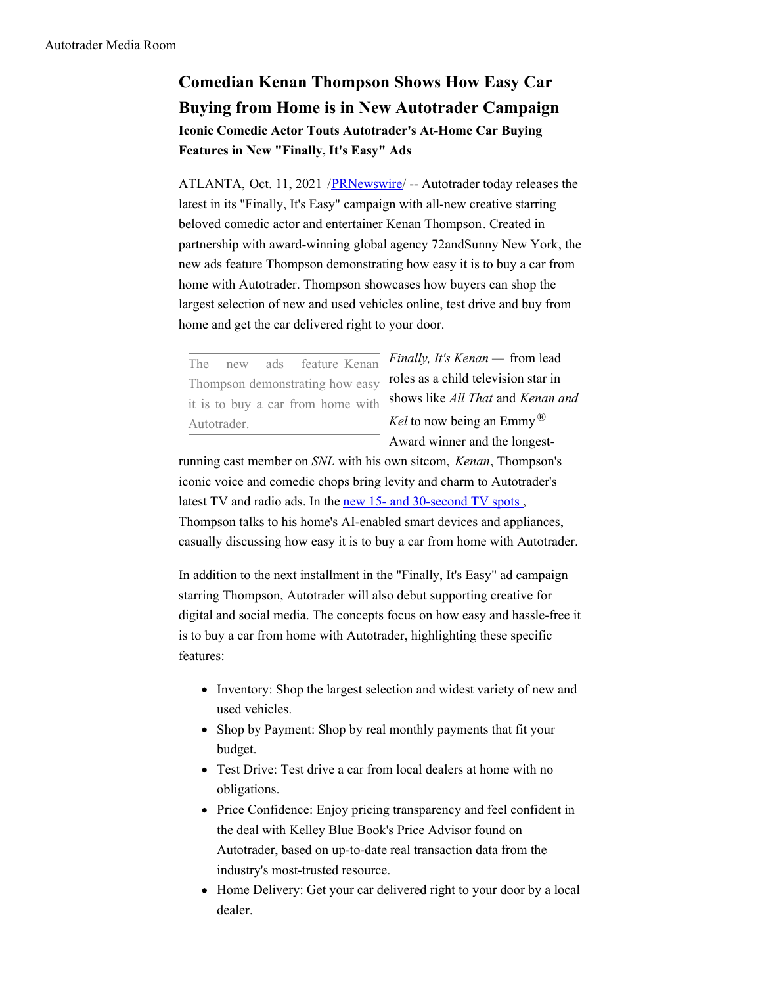**Comedian Kenan Thompson Shows How Easy Car Buying from Home is in New Autotrader Campaign Iconic Comedic Actor Touts Autotrader's At-Home Car Buying Features in New "Finally, It's Easy" Ads**

ATLANTA, Oct. 11, 2021 /**PRNewswire/** -- Autotrader today releases the latest in its "Finally, It's Easy" campaign with all-new creative starring beloved comedic actor and entertainer Kenan Thompson. Created in partnership with award-winning global agency 72andSunny New York, the new ads feature Thompson demonstrating how easy it is to buy a car from home with Autotrader. Thompson showcases how buyers can shop the largest selection of new and used vehicles online, test drive and buy from home and get the car delivered right to your door.

The new ads feature Kenan Thompson demonstrating how easy it is to buy a car from home with Autotrader.

*Finally, It's Kenan —* from lead roles as a child television star in shows like *All That* and *Kenan and Kel* to now being an Emmy ® Award winner and the longest-

running cast member on *SNL* with his own sitcom, *Kenan*, Thompson's iconic voice and comedic chops bring levity and charm to Autotrader's latest TV and radio ads. In the new 15- and [30-second](https://c212.net/c/link/?t=0&l=en&o=3316562-1&h=532787602&u=https%3A%2F%2Fwww.autotrader.com%2Ffinallyitseasy&a=new+15-+and+30-second+TV+spots) TV spots , Thompson talks to his home's AI-enabled smart devices and appliances, casually discussing how easy it is to buy a car from home with Autotrader.

In addition to the next installment in the "Finally, It's Easy" ad campaign starring Thompson, Autotrader will also debut supporting creative for digital and social media. The concepts focus on how easy and hassle-free it is to buy a car from home with Autotrader, highlighting these specific features:

- Inventory: Shop the largest selection and widest variety of new and used vehicles.
- Shop by Payment: Shop by real monthly payments that fit your budget.
- Test Drive: Test drive a car from local dealers at home with no obligations.
- Price Confidence: Enjoy pricing transparency and feel confident in the deal with Kelley Blue Book's Price Advisor found on Autotrader, based on up-to-date real transaction data from the industry's most-trusted resource.
- Home Delivery: Get your car delivered right to your door by a local dealer.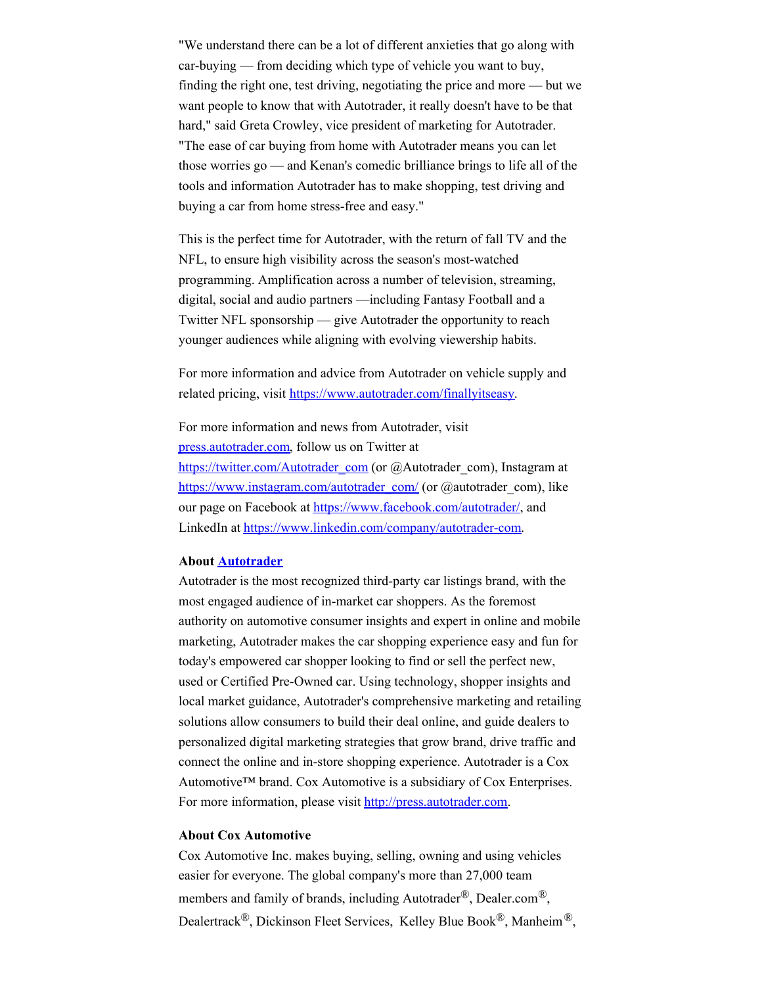"We understand there can be a lot of different anxieties that go along with car-buying — from deciding which type of vehicle you want to buy, finding the right one, test driving, negotiating the price and more — but we want people to know that with Autotrader, it really doesn't have to be that hard," said Greta Crowley, vice president of marketing for Autotrader. "The ease of car buying from home with Autotrader means you can let those worries go — and Kenan's comedic brilliance brings to life all of the tools and information Autotrader has to make shopping, test driving and buying a car from home stress-free and easy."

This is the perfect time for Autotrader, with the return of fall TV and the NFL, to ensure high visibility across the season's most-watched programming. Amplification across a number of television, streaming, digital, social and audio partners —including Fantasy Football and a Twitter NFL sponsorship — give Autotrader the opportunity to reach younger audiences while aligning with evolving viewership habits.

For more information and advice from Autotrader on vehicle supply and related pricing, visit [https://www.autotrader.com/finallyitseasy](https://c212.net/c/link/?t=0&l=en&o=3316562-1&h=564502242&u=https%3A%2F%2Fwww.autotrader.com%2Ffinallyitseasy&a=https%3A%2F%2Fwww.autotrader.com%2Ffinallyitseasy).

For more information and news from Autotrader, visit [press.autotrader.com](https://c212.net/c/link/?t=0&l=en&o=3316562-1&h=1333986219&u=https%3A%2F%2Fprnnj3-irisxe8.prnewswire.local%2FUsers%2FJoanna%2520Pinkham%2FDesktop%2FWork%2FCox%2520Automotive%2FCox%2520Auto%2520Work%2F2021%2FAutotrader%2520Drafts%25202021%2Fpress.autotrader.com&a=press.autotrader.com), follow us on Twitter at [https://twitter.com/Autotrader\\_com](https://c212.net/c/link/?t=0&l=en&o=3316562-1&h=1871505802&u=https%3A%2F%2Ftwitter.com%2FAutotrader_com&a=https%3A%2F%2Ftwitter.com%2FAutotrader_com) (or @Autotrader\_com), Instagram at [https://www.instagram.com/autotrader\\_com/](https://c212.net/c/link/?t=0&l=en&o=3316562-1&h=2373792397&u=https%3A%2F%2Fwww.instagram.com%2Fautotrader_com%2F&a=https%3A%2F%2Fwww.instagram.com%2Fautotrader_com%2F) (or @autotrader\_com), like our page on Facebook at [https://www.facebook.com/autotrader/](https://c212.net/c/link/?t=0&l=en&o=3316562-1&h=2358385146&u=https%3A%2F%2Fwww.facebook.com%2Fautotrader%2F&a=https%3A%2F%2Fwww.facebook.com%2Fautotrader%2F), and LinkedIn at [https://www.linkedin.com/company/autotrader-com](https://c212.net/c/link/?t=0&l=en&o=3316562-1&h=702071464&u=https%3A%2F%2Fwww.linkedin.com%2Fcompany%2Fautotrader-com&a=https%3A%2F%2Fwww.linkedin.com%2Fcompany%2Fautotrader-com).

## **About [Autotrader](https://c212.net/c/link/?t=0&l=en&o=3316562-1&h=1910622201&u=https%3A%2F%2Fwww.autotrader.com%2F&a=Autotrader)**

Autotrader is the most recognized third-party car listings brand, with the most engaged audience of in-market car shoppers. As the foremost authority on automotive consumer insights and expert in online and mobile marketing, Autotrader makes the car shopping experience easy and fun for today's empowered car shopper looking to find or sell the perfect new, used or Certified Pre-Owned car. Using technology, shopper insights and local market guidance, Autotrader's comprehensive marketing and retailing solutions allow consumers to build their deal online, and guide dealers to personalized digital marketing strategies that grow brand, drive traffic and connect the online and in-store shopping experience. Autotrader is a Cox Automotive™ brand. Cox Automotive is a subsidiary of Cox Enterprises. For more information, please visit [http://press.autotrader.com.](https://c212.net/c/link/?t=0&l=en&o=3316562-1&h=1528017709&u=https%3A%2F%2Fc212.net%2Fc%2Flink%2F%3Ft%3D0%26l%3Den%26o%3D2532729-1%26h%3D4051236320%26u%3Dhttp%253A%252F%252Fpress.autotrader.com%252F%26a%3Dhttp%253A%252F%252Fpress.autotrader.com&a=http%3A%2F%2Fpress.autotrader.com)

## **About Cox Automotive**

Cox Automotive Inc. makes buying, selling, owning and using vehicles easier for everyone. The global company's more than 27,000 team members and family of brands, including Autotrader®, Dealer.com®, Dealertrack®, Dickinson Fleet Services, Kelley Blue Book®, Manheim®,